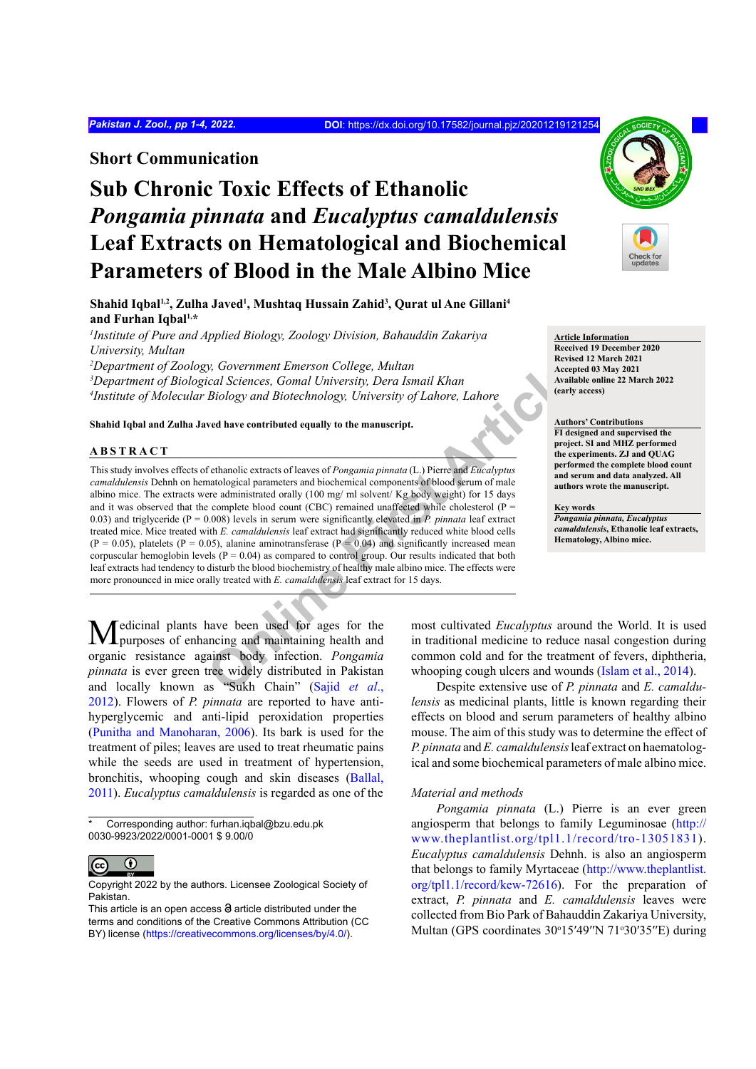## **Short Communication**

# **Sub Chronic Toxic Effects of Ethanolic**  *Pongamia pinnata* **and** *Eucalyptus camaldulensis* **Leaf Extracts on Hematological and Biochemical Parameters of Blood in the Male Albino Mice**

Shahid Iqbal<sup>ı,2</sup>, Zulha Javed<sup>ı</sup>, Mushtaq Hussain Zahid<sup>3</sup>, Qurat ul Ane Gillani<sup>4</sup> **and Furhan Iqbal1,\***

*1 Institute of Pure and Applied Biology, Zoology Division, Bahauddin Zakariya University, Multan*

*2 Department of Zoology, Government Emerson College, Multan 3 Department of Biological Sciences, Gomal University, Dera Ismail Khan*

*4 Institute of Molecular Biology and Biotechnology, University of Lahore, Lahore*

**Shahid Iqbal and Zulha Javed have contributed equally to the manuscript.**

## **ABSTRACT**

*Sovernment Emerson College, Multan*<br> *College, Multan*<br> *College, Multan*<br> *Biology and Biotechnology, University of Lahore*, Lahore<br> **Online Biology and Biotechnology, University of Lahore, Lahore<br>
<b>Online First Artifica** This study involves effects of ethanolic extracts of leaves of *Pongamia pinnata* (L.) Pierre and *Eucalyptus camaldulensis* Dehnh on hematological parameters and biochemical components of blood serum of male albino mice. The extracts were administrated orally (100 mg/ ml solvent/ Kg body weight) for 15 days and it was observed that the complete blood count (CBC) remained unaffected while cholesterol ( $P =$ 0.03) and triglyceride ( $P = 0.008$ ) levels in serum were significantly elevated in *P. pinnata* leaf extract treated mice. Mice treated with *E. camaldulensis* leaf extract had significantly reduced white blood cells  $(P = 0.05)$ , platelets  $(P = 0.05)$ , alanine aminotransferase  $(P = 0.04)$  and significantly increased mean corpuscular hemoglobin levels ( $P = 0.04$ ) as compared to control group. Our results indicated that both leaf extracts had tendency to disturb the blood biochemistry of healthy male albino mice. The effects were more pronounced in mice orally treated with *E. camaldulensis* leaf extract for 15 days.

edicinal plants have been used for ages for the **L** purposes of enhancing and maintaining health and organic resistance against body infection. *Pongamia pinnata* is ever green tree widely distributed in Pakistan and locally known as "Sukh Chain" (Sajid *et al*., [2012\)](#page-3-0). Flowers of *P. pinnata* are reported to have antihyperglycemic and anti-lipid peroxidation properties [\(Punitha and Manoharan, 2006](#page-3-1)). Its bark is used for the treatment of piles; leaves are used to treat rheumatic pains while the seeds are used in treatment of hypertension, bronchitis, whooping cough and skin diseases ([Ballal,](#page-2-0) [2011](#page-2-0)). *Eucalyptus camaldulensis* is regarded as one of the

Corresponding author: furhan.iqbal@bzu.edu.pk 0030-9923/2022/0001-0001 \$ 9.00/0



Copyright 2022 by the authors. Licensee Zoological Society of Pakistan.



**Article Information Received 19 December 2020 Revised 12 March 2021 Accepted 03 May 2021 Available online 22 March 2022 (early access)**

**Authors' Contributions FI designed and supervised the project. SI and MHZ performed the experiments. ZJ and QUAG performed the complete blood count and serum and data analyzed. All authors wrote the manuscript.**

**Key words** *Pongamia pinnata, Eucalyptus camaldulensis***, Ethanolic leaf extracts, Hematology, Albino mice.**

most cultivated *Eucalyptus* around the World. It is used in traditional medicine to reduce nasal congestion during common cold and for the treatment of fevers, diphtheria, whooping cough ulcers and wounds ([Islam et al., 2014\)](#page-2-1).

Despite extensive use of *P. pinnata* and *E. camaldulensis* as medicinal plants, little is known regarding their effects on blood and serum parameters of healthy albino mouse. The aim of this study was to determine the effect of *P. pinnata* and *E. camaldulensis* leaf extract on haematological and some biochemical parameters of male albino mice.

### *Material and methods*

*Pongamia pinnata* (L.) Pierre is an ever green angiosperm that belongs to family Leguminosae ([http://](http://www.theplantlist.org/tpl1.1/record/tro-13051831) [www.theplantlist.org/tpl1.1/record/tro-13051831\)](http://www.theplantlist.org/tpl1.1/record/tro-13051831). *Eucalyptus camaldulensis* Dehnh. is also an angiosperm that belongs to family Myrtaceae [\(http://www.theplantlist.](http://www.theplantlist.org/tpl1.1/record/kew-72616) [org/tpl1.1/record/kew-72616\)](http://www.theplantlist.org/tpl1.1/record/kew-72616). For the preparation of extract, *P. pinnata* and *E. camaldulensis* leaves were collected from Bio Park of Bahauddin Zakariya University, Multan (GPS coordinates 30°15'49"N 71°30'35"E) during

This article is an open access  $\Theta$  article distributed under the terms and conditions of the Creative Commons Attribution (CC BY) license (https://creativecommons.org/licenses/by/4.0/).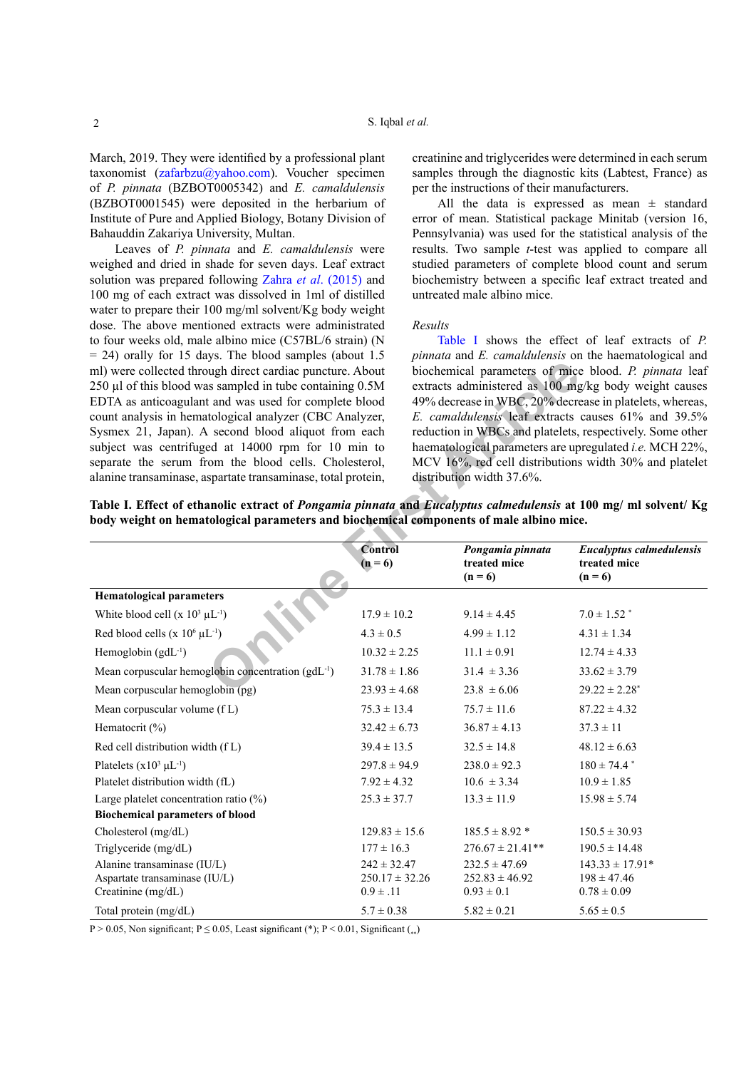March, 2019. They were identified by a professional plant taxonomist [\(zafarbzu@yahoo.com](zafarbzu@yahoo.com)). Voucher specimen of *P. pinnata* (BZBOT0005342) and *E. camaldulensis* (BZBOT0001545) were deposited in the herbarium of Institute of Pure and Applied Biology, Botany Division of Bahauddin Zakariya University, Multan.

Leaves of *P. pinnata* and *E. camaldulensis* were weighed and dried in shade for seven days. Leaf extract solution was prepared following Zahra *et al*[. \(2015\) a](#page-3-2)nd 100 mg of each extract was dissolved in 1ml of distilled water to prepare their 100 mg/ml solvent/Kg body weight dose. The above mentioned extracts were administrated to four weeks old, male albino mice (C57BL/6 strain) (N  $= 24$ ) orally for 15 days. The blood samples (about 1.5 ml) were collected through direct cardiac puncture. About 250 µl of this blood was sampled in tube containing 0.5M EDTA as anticoagulant and was used for complete blood count analysis in hematological analyzer (CBC Analyzer, Sysmex 21, Japan). A second blood aliquot from each subject was centrifuged at 14000 rpm for 10 min to separate the serum from the blood cells. Cholesterol, alanine transaminase, aspartate transaminase, total protein, creatinine and triglycerides were determined in each serum samples through the diagnostic kits (Labtest, France) as per the instructions of their manufacturers.

All the data is expressed as mean  $\pm$  standard error of mean. Statistical package Minitab (version 16, Pennsylvania) was used for the statistical analysis of the results. Two sample *t*-test was applied to compare all studied parameters of complete blood count and serum biochemistry between a specific leaf extract treated and untreated male albino mice.

## *Results*

[Table I](#page-1-0) shows the effect of leaf extracts of *P. pinnata* and *E. camaldulensis* on the haematological and biochemical parameters of mice blood. *P. pinnata* leaf extracts administered as 100 mg/kg body weight causes 49% decrease in WBC, 20% decrease in platelets, whereas, *E. camaldulensis* leaf extracts causes 61% and 39.5% reduction in WBCs and platelets, respectively. Some other haematological parameters are upregulated *i.e.* MCH 22%, MCV 16%, red cell distributions width 30% and platelet distribution width 37.6%.

<span id="page-1-0"></span>**Table I. Effect of ethanolic extract of** *Pongamia pinnata* **and** *Eucalyptus calmedulensis* **at 100 mg/ ml solvent/ Kg body weight on hematological parameters and biochemical components of male albino mice.**

| ml) were collected through direct cardiac puncture. About<br>250 µl of this blood was sampled in tube containing 0.5M<br>EDTA as anticoagulant and was used for complete blood<br>count analysis in hematological analyzer (CBC Analyzer,<br>Sysmex 21, Japan). A second blood aliquot from each<br>subject was centrifuged at 14000 rpm for 10 min to<br>separate the serum from the blood cells. Cholesterol,<br>alanine transaminase, aspartate transaminase, total protein,<br>body weight on hematological parameters and biochemical components of male albino mice. |                                     | biochemical parameters of mice blood. P. pinnata leaf<br>extracts administered as 100 mg/kg body weight causes<br>49% decrease in WBC, 20% decrease in platelets, whereas,<br>E. camaldulensis leaf extracts causes 61% and 39.5%<br>reduction in WBCs and platelets, respectively. Some other<br>haematological parameters are upregulated i.e. MCH 22%,<br>MCV 16%, red cell distributions width 30% and platelet<br>distribution width 37.6%.<br>Table I. Effect of ethanolic extract of Pongamia pinnata and Eucalyptus calmedulensis at 100 mg/ml solvent/ Kg |                                                       |
|----------------------------------------------------------------------------------------------------------------------------------------------------------------------------------------------------------------------------------------------------------------------------------------------------------------------------------------------------------------------------------------------------------------------------------------------------------------------------------------------------------------------------------------------------------------------------|-------------------------------------|--------------------------------------------------------------------------------------------------------------------------------------------------------------------------------------------------------------------------------------------------------------------------------------------------------------------------------------------------------------------------------------------------------------------------------------------------------------------------------------------------------------------------------------------------------------------|-------------------------------------------------------|
|                                                                                                                                                                                                                                                                                                                                                                                                                                                                                                                                                                            | Control<br>$(n = 6)$                | Pongamia pinnata<br>treated mice<br>$(n = 6)$                                                                                                                                                                                                                                                                                                                                                                                                                                                                                                                      | Eucalyptus calmedulensis<br>treated mice<br>$(n = 6)$ |
| <b>Hematological parameters</b>                                                                                                                                                                                                                                                                                                                                                                                                                                                                                                                                            |                                     |                                                                                                                                                                                                                                                                                                                                                                                                                                                                                                                                                                    |                                                       |
| White blood cell $(x 10^3 \mu L^{-1})$                                                                                                                                                                                                                                                                                                                                                                                                                                                                                                                                     | $17.9 \pm 10.2$                     | $9.14 \pm 4.45$                                                                                                                                                                                                                                                                                                                                                                                                                                                                                                                                                    | $7.0 \pm 1.52$ *                                      |
| Red blood cells (x $10^6$ $\mu$ L <sup>-1</sup> )                                                                                                                                                                                                                                                                                                                                                                                                                                                                                                                          | $4.3 \pm 0.5$                       | $4.99 \pm 1.12$                                                                                                                                                                                                                                                                                                                                                                                                                                                                                                                                                    | $4.31 \pm 1.34$                                       |
| Hemoglobin $(gdL^{-1})$                                                                                                                                                                                                                                                                                                                                                                                                                                                                                                                                                    | $10.32 \pm 2.25$                    | $11.1 \pm 0.91$                                                                                                                                                                                                                                                                                                                                                                                                                                                                                                                                                    | $12.74 \pm 4.33$                                      |
| Mean corpuscular hemoglobin concentration (gdL <sup>-1</sup> )                                                                                                                                                                                                                                                                                                                                                                                                                                                                                                             | $31.78 \pm 1.86$                    | $31.4 \pm 3.36$                                                                                                                                                                                                                                                                                                                                                                                                                                                                                                                                                    | $33.62 \pm 3.79$                                      |
| Mean corpuscular hemoglobin (pg)                                                                                                                                                                                                                                                                                                                                                                                                                                                                                                                                           | $23.93 \pm 4.68$                    | $23.8 \pm 6.06$                                                                                                                                                                                                                                                                                                                                                                                                                                                                                                                                                    | $29.22 \pm 2.28^*$                                    |
| Mean corpuscular volume (fL)                                                                                                                                                                                                                                                                                                                                                                                                                                                                                                                                               | $75.3 \pm 13.4$                     | $75.7\pm11.6$                                                                                                                                                                                                                                                                                                                                                                                                                                                                                                                                                      | $87.22 \pm 4.32$                                      |
| Hematocrit $(\%)$                                                                                                                                                                                                                                                                                                                                                                                                                                                                                                                                                          | $32.42 \pm 6.73$                    | $36.87 \pm 4.13$                                                                                                                                                                                                                                                                                                                                                                                                                                                                                                                                                   | $37.3 \pm 11$                                         |
| Red cell distribution width (fL)                                                                                                                                                                                                                                                                                                                                                                                                                                                                                                                                           | $39.4 \pm 13.5$                     | $32.5 \pm 14.8$                                                                                                                                                                                                                                                                                                                                                                                                                                                                                                                                                    | $48.12 \pm 6.63$                                      |
| Platelets $(x10^3 \mu L^{-1})$                                                                                                                                                                                                                                                                                                                                                                                                                                                                                                                                             | $297.8 \pm 94.9$                    | $238.0 \pm 92.3$                                                                                                                                                                                                                                                                                                                                                                                                                                                                                                                                                   | $180 \pm 74.4$ *                                      |
| Platelet distribution width (fL)                                                                                                                                                                                                                                                                                                                                                                                                                                                                                                                                           | $7.92 \pm 4.32$                     | $10.6 \pm 3.34$                                                                                                                                                                                                                                                                                                                                                                                                                                                                                                                                                    | $10.9 \pm 1.85$                                       |
| Large platelet concentration ratio (%)                                                                                                                                                                                                                                                                                                                                                                                                                                                                                                                                     | $25.3 \pm 37.7$                     | $13.3 \pm 11.9$                                                                                                                                                                                                                                                                                                                                                                                                                                                                                                                                                    | $15.98 \pm 5.74$                                      |
| <b>Biochemical parameters of blood</b>                                                                                                                                                                                                                                                                                                                                                                                                                                                                                                                                     |                                     |                                                                                                                                                                                                                                                                                                                                                                                                                                                                                                                                                                    |                                                       |
| Cholesterol (mg/dL)                                                                                                                                                                                                                                                                                                                                                                                                                                                                                                                                                        | $129.83 \pm 15.6$                   | $185.5 \pm 8.92$ *                                                                                                                                                                                                                                                                                                                                                                                                                                                                                                                                                 | $150.5 \pm 30.93$                                     |
| Triglyceride (mg/dL)                                                                                                                                                                                                                                                                                                                                                                                                                                                                                                                                                       | $177 \pm 16.3$                      | $276.67 \pm 21.41**$                                                                                                                                                                                                                                                                                                                                                                                                                                                                                                                                               | $190.5 \pm 14.48$                                     |
| Alanine transaminase (IU/L)                                                                                                                                                                                                                                                                                                                                                                                                                                                                                                                                                | $242 \pm 32.47$                     | $232.5 \pm 47.69$                                                                                                                                                                                                                                                                                                                                                                                                                                                                                                                                                  | $143.33 \pm 17.91*$                                   |
| Aspartate transaminase (IU/L)<br>Creatinine (mg/dL)                                                                                                                                                                                                                                                                                                                                                                                                                                                                                                                        | $250.17 \pm 32.26$<br>$0.9 \pm .11$ | $252.83 \pm 46.92$<br>$0.93 \pm 0.1$                                                                                                                                                                                                                                                                                                                                                                                                                                                                                                                               | $198 \pm 47.46$<br>$0.78 \pm 0.09$                    |
|                                                                                                                                                                                                                                                                                                                                                                                                                                                                                                                                                                            |                                     |                                                                                                                                                                                                                                                                                                                                                                                                                                                                                                                                                                    |                                                       |
| Total protein (mg/dL)                                                                                                                                                                                                                                                                                                                                                                                                                                                                                                                                                      | $5.7 \pm 0.38$                      | $5.82\pm0.21$                                                                                                                                                                                                                                                                                                                                                                                                                                                                                                                                                      | $5.65 \pm 0.5$                                        |

P > 0.05, Non significant; P  $\leq$  0.05, Least significant (\*); P < 0.01, Significant (\*)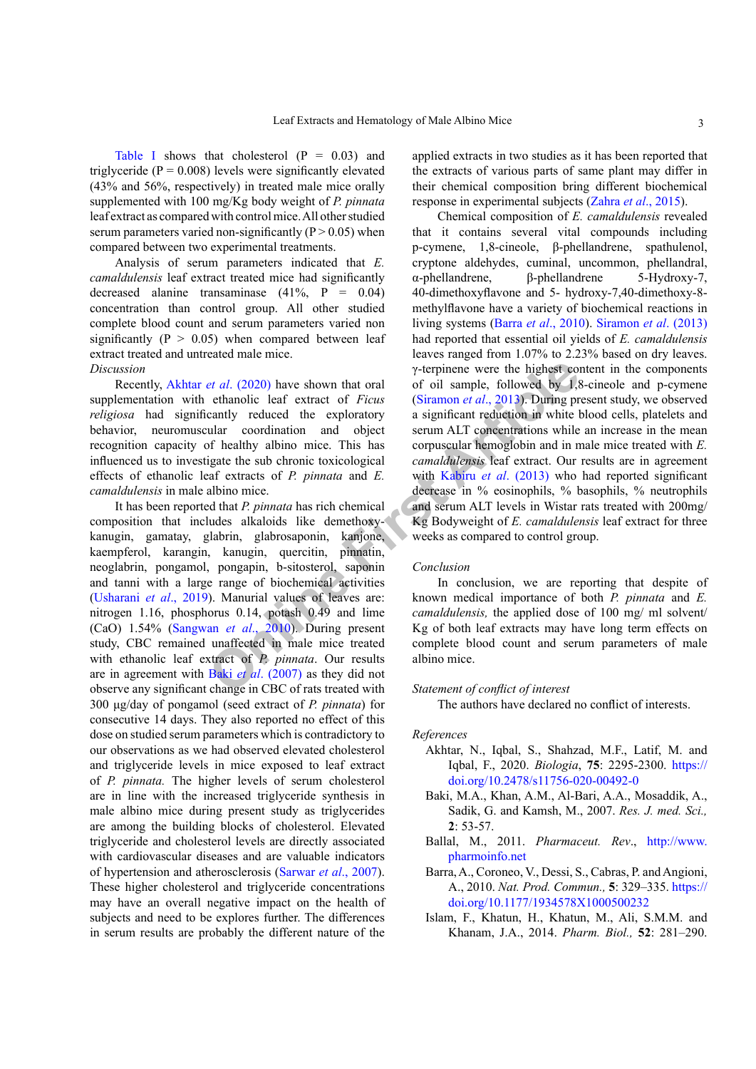[Table I](#page-1-0) shows that cholesterol  $(P = 0.03)$  and triglyceride ( $P = 0.008$ ) levels were significantly elevated (43% and 56%, respectively) in treated male mice orally supplemented with 100 mg/Kg body weight of *P. pinnata* leaf extract as compared with control mice. All other studied serum parameters varied non-significantly ( $P > 0.05$ ) when compared between two experimental treatments.

Analysis of serum parameters indicated that *E. camaldulensis* leaf extract treated mice had significantly decreased alanine transaminase (41%, P = 0.04) concentration than control group. All other studied complete blood count and serum parameters varied non significantly ( $P > 0.05$ ) when compared between leaf extract treated and untreated male mice.

#### *Discussion*

Recently, Akhtar *et al*. (2020) have shown that oral supplementation with ethanolic leaf extract of *Ficus religiosa* had significantly reduced the exploratory behavior, neuromuscular coordination and object recognition capacity of healthy albino mice. This has influenced us to investigate the sub chronic toxicological effects of ethanolic leaf extracts of *P. pinnata* and *E. camaldulensis* in male albino mice.

*e[t](#page-3-7) al.* (2020) have shown that oral<br> **[O](#page-2-3)** chinal conduct the explorator of oil sample, followed by 1,8<br>
cantly reduced the exploratory a significant reduction in white<br>
unlar coordination and object serum [A](#page-3-7)LT concentration It has been reported that *P. pinnata* has rich chemical composition that includes alkaloids like demethoxykanugin, gamatay, glabrin, glabrosaponin, kanjone, kaempferol, karangin, kanugin, quercitin, pinnatin, neoglabrin, pongamol, pongapin, b-sitosterol, saponin and tanni with a large range of biochemical activities [\(Usharani](#page-3-3) *et al*., 2019). Manurial values of leaves are: nitrogen 1.16, phosphorus 0.14, potash 0.49 and lime (CaO) 1.54% (Sangwan *et al*., 2010). During present study, CBC remained unaffected in male mice treated with ethanolic leaf extract of *P. pinnata*. Our results are in agreement with Baki *et al*. (2007) as they did not observe any significant change in CBC of rats treated with 300 μg/day of pongamol (seed extract of *P. pinnata*) for consecutive 14 days. They also reported no effect of this dose on studied serum parameters which is contradictory to our observations as we had observed elevated cholesterol and triglyceride levels in mice exposed to leaf extract of *P. pinnata.* The higher levels of serum cholesterol are in line with the increased triglyceride synthesis in male albino mice during present study as triglycerides are among the building blocks of cholesterol. Elevated triglyceride and cholesterol levels are directly associated with cardiovascular diseases and are valuable indicators of hypertension and atherosclerosis ([Sarwar](#page-3-5) *et al*., 2007). These higher cholesterol and triglyceride concentrations may have an overall negative impact on the health of subjects and need to be explores further. The differences in serum results are probably the different nature of the

applied extracts in two studies as it has been reported that the extracts of various parts of same plant may differ in their chemical composition bring different biochemical response in experimental subjects (Zahra *et al*[., 2015](#page-3-2)).

Chemical composition of *E. camaldulensis* revealed that it contains several vital compounds including p-cymene, 1,8-cineole, β-phellandrene, spathulenol, cryptone aldehydes, cuminal, uncommon, phellandral, α-phellandrene, β-phellandrene 5-Hydroxy-7, 40-dimethoxyflavone and 5- hydroxy-7,40-dimethoxy-8 methylflavone have a variety of biochemical reactions in living systems (Barra *et al*[., 2010\)](#page-2-4). [Siramon](#page-3-6) *et al*. (2013) had reported that essential oil yields of *E. camaldulensis* leaves ranged from 1.07% to 2.23% based on dry leaves. γ-terpinene were the highest content in the components of oil sample, followed by 1,8-cineole and p-cymene (Siramon *et al*., 2013). During present study, we observed a significant reduction in white blood cells, platelets and serum ALT concentrations while an increase in the mean corpuscular hemoglobin and in male mice treated with *E. camaldulensis* leaf extract. Our results are in agreement with Kabiru *et al.* (2013) who had reported significant decrease in % eosinophils, % basophils, % neutrophils and serum ALT levels in Wistar rats treated with 200mg/ Kg Bodyweight of *E. camaldulensis* leaf extract for three weeks as compared to control group.

#### *Conclusion*

In conclusion, we are reporting that despite of known medical importance of both *P. pinnata* and *E. camaldulensis,* the applied dose of 100 mg/ ml solvent/ Kg of both leaf extracts may have long term effects on complete blood count and serum parameters of male albino mice.

## *Statement of conflict of interest*

The authors have declared no conflict of interests.

#### *References*

- <span id="page-2-2"></span>Akhtar, N., Iqbal, S., Shahzad, M.F., Latif, M. and Iqbal, F., 2020. *Biologia*, **75**: 2295-2300. [https://](https://doi.org/10.2478/s11756-020-00492-0) [doi.org/10.2478/s11756-020-00492-0](https://doi.org/10.2478/s11756-020-00492-0)
- <span id="page-2-3"></span>Baki, M.A., Khan, A.M., Al-Bari, A.A., Mosaddik, A., Sadik, G. and Kamsh, M., 2007. *Res. J. med. Sci.,* **2**: 53-57.
- <span id="page-2-0"></span>Ballal, M., 2011. *Pharmaceut. Rev*., [http://www.](http://www.pharmoinfo.net) [pharmoinfo.net](http://www.pharmoinfo.net)
- <span id="page-2-4"></span>Barra, A., Coroneo, V., Dessi, S., Cabras, P. and Angioni, A., 2010. *Nat. Prod. Commun.,* **5**: 329–335. [https://](https://doi.org/10.1177/1934578X1000500232) [doi.org/10.1177/1934578X1000500232](https://doi.org/10.1177/1934578X1000500232)
- <span id="page-2-1"></span>Islam, F., Khatun, H., Khatun, M., Ali, S.M.M. and Khanam, J.A., 2014. *Pharm. Biol.,* **52**: 281–290.